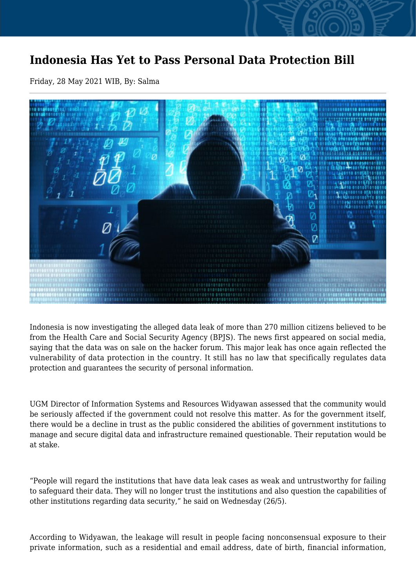## **Indonesia Has Yet to Pass Personal Data Protection Bill**

Friday, 28 May 2021 WIB, By: Salma



Indonesia is now investigating the alleged data leak of more than 270 million citizens believed to be from the Health Care and Social Security Agency (BPJS). The news first appeared on social media, saying that the data was on sale on the hacker forum. This major leak has once again reflected the vulnerability of data protection in the country. It still has no law that specifically regulates data protection and guarantees the security of personal information.

UGM Director of Information Systems and Resources Widyawan assessed that the community would be seriously affected if the government could not resolve this matter. As for the government itself, there would be a decline in trust as the public considered the abilities of government institutions to manage and secure digital data and infrastructure remained questionable. Their reputation would be at stake.

"People will regard the institutions that have data leak cases as weak and untrustworthy for failing to safeguard their data. They will no longer trust the institutions and also question the capabilities of other institutions regarding data security," he said on Wednesday (26/5).

According to Widyawan, the leakage will result in people facing nonconsensual exposure to their private information, such as a residential and email address, date of birth, financial information,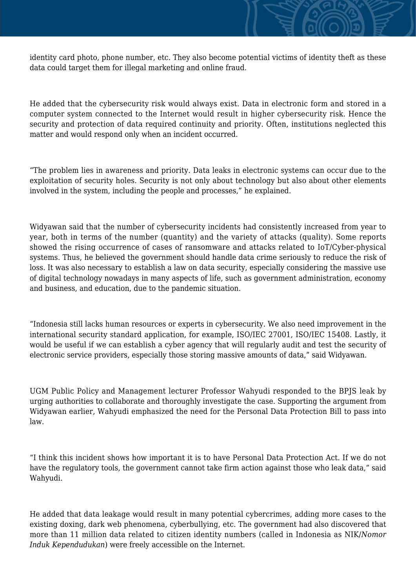identity card photo, phone number, etc. They also become potential victims of identity theft as these data could target them for illegal marketing and online fraud.

He added that the cybersecurity risk would always exist. Data in electronic form and stored in a computer system connected to the Internet would result in higher cybersecurity risk. Hence the security and protection of data required continuity and priority. Often, institutions neglected this matter and would respond only when an incident occurred.

"The problem lies in awareness and priority. Data leaks in electronic systems can occur due to the exploitation of security holes. Security is not only about technology but also about other elements involved in the system, including the people and processes," he explained.

Widyawan said that the number of cybersecurity incidents had consistently increased from year to year, both in terms of the number (quantity) and the variety of attacks (quality). Some reports showed the rising occurrence of cases of ransomware and attacks related to IoT/Cyber-physical systems. Thus, he believed the government should handle data crime seriously to reduce the risk of loss. It was also necessary to establish a law on data security, especially considering the massive use of digital technology nowadays in many aspects of life, such as government administration, economy and business, and education, due to the pandemic situation.

"Indonesia still lacks human resources or experts in cybersecurity. We also need improvement in the international security standard application, for example, ISO/IEC 27001, ISO/IEC 15408. Lastly, it would be useful if we can establish a cyber agency that will regularly audit and test the security of electronic service providers, especially those storing massive amounts of data," said Widyawan.

UGM Public Policy and Management lecturer Professor Wahyudi responded to the BPJS leak by urging authorities to collaborate and thoroughly investigate the case. Supporting the argument from Widyawan earlier, Wahyudi emphasized the need for the Personal Data Protection Bill to pass into law.

"I think this incident shows how important it is to have Personal Data Protection Act. If we do not have the regulatory tools, the government cannot take firm action against those who leak data," said Wahyudi.

He added that data leakage would result in many potential cybercrimes, adding more cases to the existing doxing, dark web phenomena, cyberbullying, etc. The government had also discovered that more than 11 million data related to citizen identity numbers (called in Indonesia as NIK/*Nomor Induk Kependudukan*) were freely accessible on the Internet.